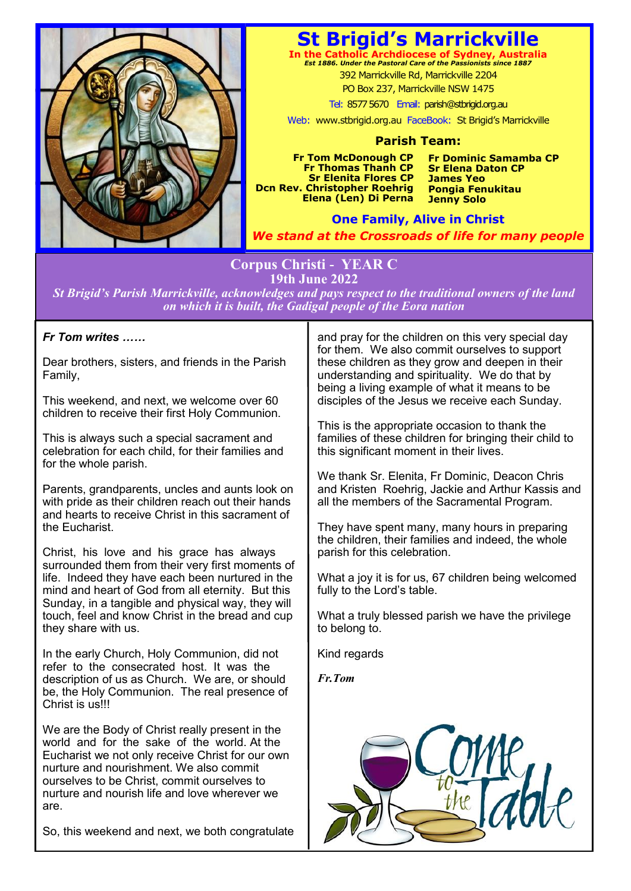

# **St Brigid's Marrickville**<br>In the Catholic Archdiocese of Sydney, Austral

**In the Catholic Archdiocese of Sydney, Australia** *Est 1886. Under the Pastoral Care of the Passionists since 1887* 392 Marrickville Rd, Marrickville 2204 PO Box 237, Marrickville NSW 1475

Tel: 8577 5670 Email: parish@stbrigid.org.au

Web: www.stbrigid.org.au FaceBook: St Brigid's Marrickville

#### **Parish Team:**

**Fr Tom McDonough CP Fr Thomas Thanh CP Sr Elenita Flores CP Dcn Rev. Christopher Roehrig Elena (Len) Di Perna** 

**Fr Dominic Samamba CP Sr Elena Daton CP James Yeo Pongia Fenukitau Jenny Solo**

**One Family, Alive in Christ** *We stand at the Crossroads of life for many people*

**Corpus Christi - YEAR C 19th June 2022**

*St Brigid's Parish Marrickville, acknowledges and pays respect to the traditional owners of the land on which it is built, the Gadigal people of the Eora nation*

#### *Fr Tom writes ……*

Dear brothers, sisters, and friends in the Parish Family,

This weekend, and next, we welcome over 60 children to receive their first Holy Communion.

This is always such a special sacrament and celebration for each child, for their families and for the whole parish.

Parents, grandparents, uncles and aunts look on with pride as their children reach out their hands and hearts to receive Christ in this sacrament of the Eucharist.

Christ, his love and his grace has always surrounded them from their very first moments of life. Indeed they have each been nurtured in the mind and heart of God from all eternity. But this Sunday, in a tangible and physical way, they will touch, feel and know Christ in the bread and cup they share with us.

In the early Church, Holy Communion, did not refer to the consecrated host. It was the description of us as Church. We are, or should be, the Holy Communion. The real presence of Christ is us!!!

We are the Body of Christ really present in the world and for the sake of the world. At the Eucharist we not only receive Christ for our own nurture and nourishment. We also commit ourselves to be Christ, commit ourselves to nurture and nourish life and love wherever we are.

So, this weekend and next, we both congratulate

and pray for the children on this very special day for them. We also commit ourselves to support these children as they grow and deepen in their understanding and spirituality. We do that by being a living example of what it means to be disciples of the Jesus we receive each Sunday.

This is the appropriate occasion to thank the families of these children for bringing their child to this significant moment in their lives.

We thank Sr. Elenita, Fr Dominic, Deacon Chris and Kristen Roehrig, Jackie and Arthur Kassis and all the members of the Sacramental Program.

They have spent many, many hours in preparing the children, their families and indeed, the whole parish for this celebration.

What a joy it is for us, 67 children being welcomed fully to the Lord's table.

What a truly blessed parish we have the privilege to belong to.

Kind regards

*Fr.Tom*

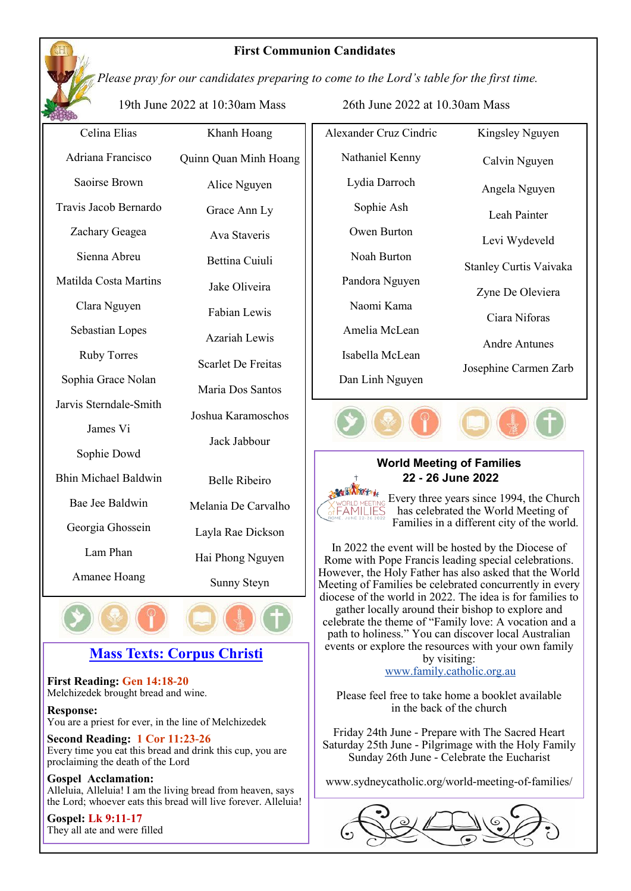#### **First Communion Candidates**



 *Please pray for our candidates preparing to come to the Lord's table for the first time.*

19th June 2022 at 10:30am Mass 26th June 2022 at 10.30am Mass

| Celina Elias                | Khanh Hoang                                                         |  |  |  |
|-----------------------------|---------------------------------------------------------------------|--|--|--|
| Adriana Francisco           | Quinn Quan Minh Hoang                                               |  |  |  |
| Saoirse Brown               | Alice Nguyen                                                        |  |  |  |
| Travis Jacob Bernardo       | Grace Ann Ly                                                        |  |  |  |
| Zachary Geagea              | Ava Staveris                                                        |  |  |  |
| Sienna Abreu                | Bettina Cuiuli                                                      |  |  |  |
| Matilda Costa Martins       | Jake Oliveira                                                       |  |  |  |
| Clara Nguyen                | <b>Fabian Lewis</b>                                                 |  |  |  |
| Sebastian Lopes             | <b>Azariah Lewis</b>                                                |  |  |  |
| <b>Ruby Torres</b>          | <b>Scarlet De Freitas</b><br>Maria Dos Santos<br>Joshua Karamoschos |  |  |  |
| Sophia Grace Nolan          |                                                                     |  |  |  |
| Jarvis Sterndale-Smith      |                                                                     |  |  |  |
| James Vi                    | Jack Jabbour                                                        |  |  |  |
| Sophie Dowd                 |                                                                     |  |  |  |
| <b>Bhin Michael Baldwin</b> | <b>Belle Ribeiro</b>                                                |  |  |  |
| Bae Jee Baldwin             | Melania De Carvalho                                                 |  |  |  |
| Georgia Ghossein            | Layla Rae Dickson                                                   |  |  |  |
| Lam Phan                    | Hai Phong Nguyen<br>Sunny Steyn                                     |  |  |  |
| Amanee Hoang                |                                                                     |  |  |  |



## **Mass Texts: Corpus Christi**

**First Reading: Gen 14:18-20**  Melchizedek brought bread and wine.

**Response:**  You are a priest for ever, in the line of Melchizedek

**Second Reading: 1 Cor 11:23-26** Every time you eat this bread and drink this cup, you are proclaiming the death of the Lord

#### **Gospel Acclamation:**  Alleluia, Alleluia! I am the living bread from heaven, says the Lord; whoever eats this bread will live forever. Alleluia!

**Gospel: Lk 9:11-17** They all ate and were filled

| Alexander Cruz Cindric | Kingsley Nguyen               |  |  |
|------------------------|-------------------------------|--|--|
| Nathaniel Kenny        | Calvin Nguyen                 |  |  |
| Lydia Darroch          | Angela Nguyen                 |  |  |
| Sophie Ash             | Leah Painter                  |  |  |
| Owen Burton            | Levi Wydeveld                 |  |  |
| Noah Burton            | <b>Stanley Curtis Vaivaka</b> |  |  |
| Pandora Nguyen         | Zyne De Oleviera              |  |  |
| Naomi Kama             | Ciara Niforas                 |  |  |
| Amelia McLean          |                               |  |  |
| Isabella McLean        | Andre Antunes                 |  |  |
| Dan Linh Nguyen        | Josephine Carmen Zarb         |  |  |
|                        |                               |  |  |



#### **World Meeting of Families 22 - 26 June 2022**



 Every three years since 1994, the Church has celebrated the World Meeting of Families in a different city of the world.

In 2022 the event will be hosted by the Diocese of Rome with Pope Francis leading special celebrations. However, the Holy Father has also asked that the World Meeting of Families be celebrated concurrently in every diocese of the world in 2022. The idea is for families to gather locally around their bishop to explore and celebrate the theme of "Family love: A vocation and a

path to holiness." You can discover local Australian events or explore the resources with your own family by visiting:

#### [www.family.catholic.org.au](https://pmrc.ontraport.com/c/s/2Q9/Hr5F/6/rw2R/Din/69Cakp/6NoPNRdTyG/P/P/Qb)

Please feel free to take home a booklet available in the back of the church

Friday 24th June - Prepare with The Sacred Heart Saturday 25th June - Pilgrimage with the Holy Family Sunday 26th June - Celebrate the Eucharist

www.sydneycatholic.org/world-meeting-of-families/

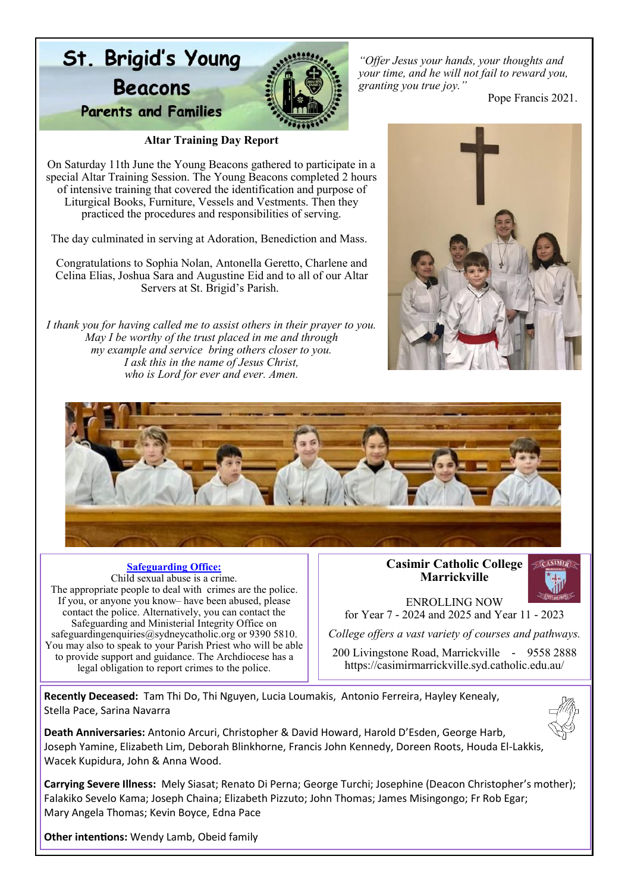## St. Brigid's Young **Beacons**

**Parents and Families** 



*"Offer Jesus your hands, your thoughts and your time, and he will not fail to reward you, granting you true joy."* 

Pope Francis 2021.

#### **Altar Training Day Report**

On Saturday 11th June the Young Beacons gathered to participate in a special Altar Training Session. The Young Beacons completed 2 hours of intensive training that covered the identification and purpose of Liturgical Books, Furniture, Vessels and Vestments. Then they practiced the procedures and responsibilities of serving.

The day culminated in serving at Adoration, Benediction and Mass.

Congratulations to Sophia Nolan, Antonella Geretto, Charlene and Celina Elias, Joshua Sara and Augustine Eid and to all of our Altar Servers at St. Brigid's Parish.

*I thank you for having called me to assist others in their prayer to you. May I be worthy of the trust placed in me and through my example and service bring others closer to you. I ask this in the name of Jesus Christ, who is Lord for ever and ever. Amen.*





#### **Safeguarding Office:**

Child sexual abuse is a crime. The appropriate people to deal with crimes are the police. If you, or anyone you know– have been abused, please contact the police. Alternatively, you can contact the Safeguarding and Ministerial Integrity Office on safeguardingenquiries@sydneycatholic.org or 9390 5810. You may also to speak to your Parish Priest who will be able to provide support and guidance. The Archdiocese has a legal obligation to report crimes to the police.

#### **Casimir Catholic College Marrickville**



ENROLLING NOW for Year 7 - 2024 and 2025 and Year 11 - 2023

*College offers a vast variety of courses and pathways.*

200 Livingstone Road, Marrickville - 9558 2888 https://casimirmarrickville.syd.catholic.edu.au/

**Recently Deceased:** Tam Thi Do, Thi Nguyen, Lucia Loumakis, Antonio Ferreira, Hayley Kenealy, Stella Pace, Sarina Navarra



**Death Anniversaries:** Antonio Arcuri, Christopher & David Howard, Harold D'Esden, George Harb, Joseph Yamine, Elizabeth Lim, Deborah Blinkhorne, Francis John Kennedy, Doreen Roots, Houda El-Lakkis, Wacek Kupidura, John & Anna Wood.

**Carrying Severe Illness:** Mely Siasat; Renato Di Perna; George Turchi; Josephine (Deacon Christopher's mother); Falakiko Sevelo Kama; Joseph Chaina; Elizabeth Pizzuto; John Thomas; James Misingongo; Fr Rob Egar; Mary Angela Thomas; Kevin Boyce, Edna Pace

**Other intentions:** Wendy Lamb, Obeid family